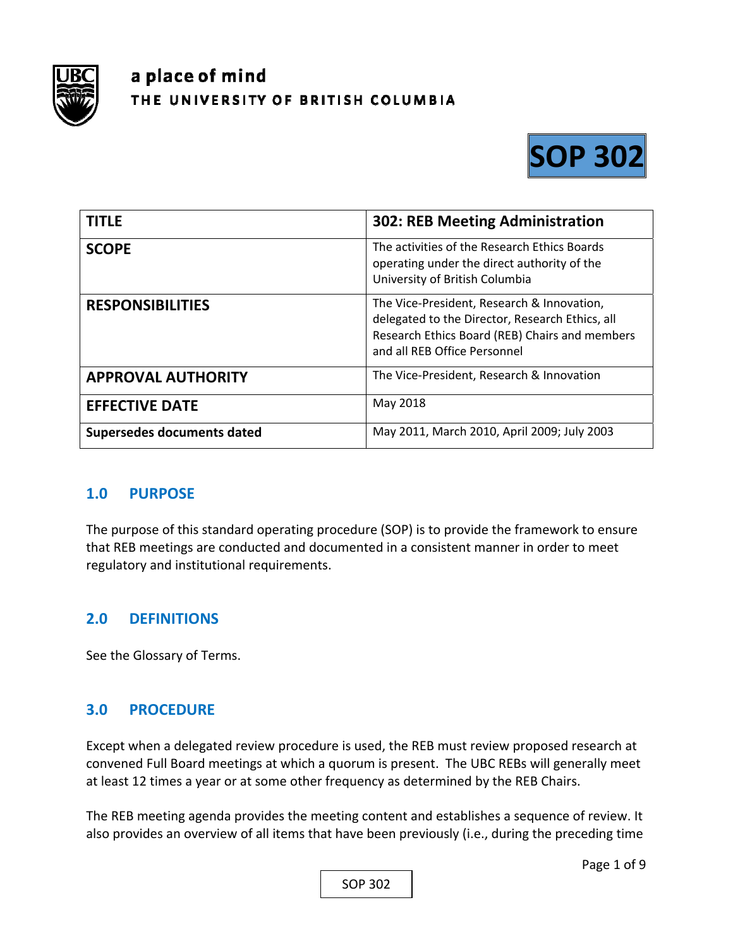

# a place of mind THE UNIVERSITY OF BRITISH COLUMBIA



| <b>TITLE</b>               | <b>302: REB Meeting Administration</b>                                                                                                                                          |
|----------------------------|---------------------------------------------------------------------------------------------------------------------------------------------------------------------------------|
| <b>SCOPE</b>               | The activities of the Research Ethics Boards<br>operating under the direct authority of the<br>University of British Columbia                                                   |
| <b>RESPONSIBILITIES</b>    | The Vice-President, Research & Innovation,<br>delegated to the Director, Research Ethics, all<br>Research Ethics Board (REB) Chairs and members<br>and all REB Office Personnel |
| <b>APPROVAL AUTHORITY</b>  | The Vice-President, Research & Innovation                                                                                                                                       |
| <b>EFFECTIVE DATE</b>      | May 2018                                                                                                                                                                        |
| Supersedes documents dated | May 2011, March 2010, April 2009; July 2003                                                                                                                                     |

## **1.0 PURPOSE**

The purpose of this standard operating procedure (SOP) is to provide the framework to ensure that REB meetings are conducted and documented in a consistent manner in order to meet regulatory and institutional requirements.

## **2.0 DEFINITIONS**

See the Glossary of Terms.

## **3.0 PROCEDURE**

Except when a delegated review procedure is used, the REB must review proposed research at convened Full Board meetings at which a quorum is present. The UBC REBs will generally meet at least 12 times a year or at some other frequency as determined by the REB Chairs.

The REB meeting agenda provides the meeting content and establishes a sequence of review. It also provides an overview of all items that have been previously (i.e., during the preceding time

SOP 302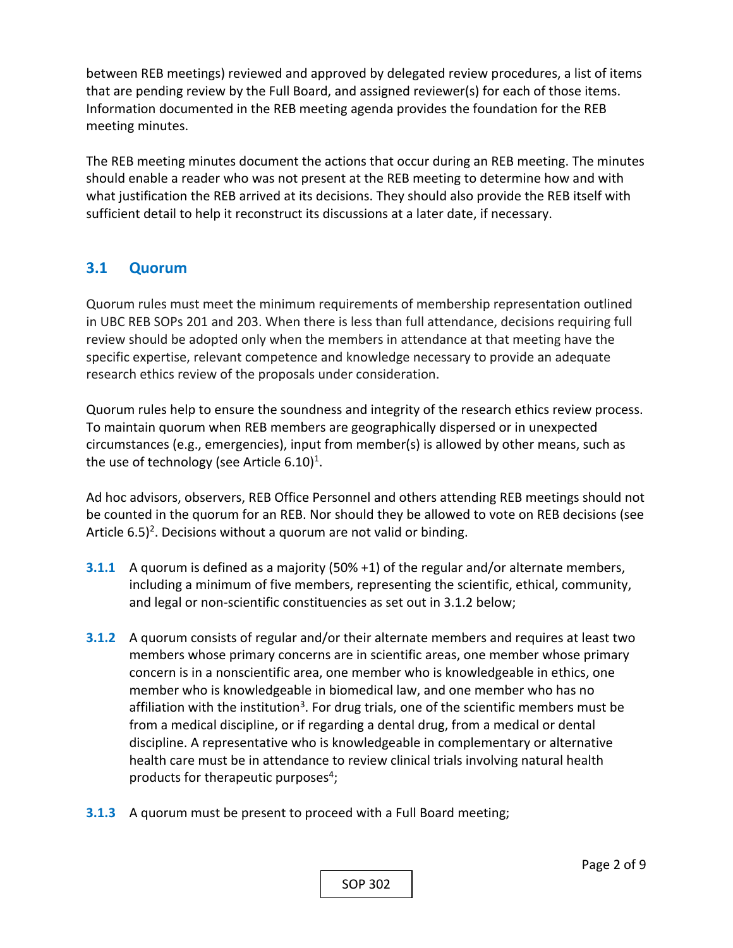between REB meetings) reviewed and approved by delegated review procedures, a list of items that are pending review by the Full Board, and assigned reviewer(s) for each of those items. Information documented in the REB meeting agenda provides the foundation for the REB meeting minutes.

The REB meeting minutes document the actions that occur during an REB meeting. The minutes should enable a reader who was not present at the REB meeting to determine how and with what justification the REB arrived at its decisions. They should also provide the REB itself with sufficient detail to help it reconstruct its discussions at a later date, if necessary.

## **3.1 Quorum**

Quorum rules must meet the minimum requirements of membership representation outlined in UBC REB SOPs 201 and 203. When there is less than full attendance, decisions requiring full review should be adopted only when the members in attendance at that meeting have the specific expertise, relevant competence and knowledge necessary to provide an adequate research ethics review of the proposals under consideration.

Quorum rules help to ensure the soundness and integrity of the research ethics review process. To maintain quorum when REB members are geographically dispersed or in unexpected circumstances (e.g., emergencies), input from member(s) is allowed by other means, such as the use of technology (see Article  $6.10$ )<sup>1</sup>.

Ad hoc advisors, observers, REB Office Personnel and others attending REB meetings should not be counted in the quorum for an REB. Nor should they be allowed to vote on REB decisions (see Article  $6.5$ <sup>2</sup>. Decisions without a quorum are not valid or binding.

- **3.1.1** A quorum is defined as a majority (50% +1) of the regular and/or alternate members, including a minimum of five members, representing the scientific, ethical, community, and legal or non‐scientific constituencies as set out in 3.1.2 below;
- **3.1.2**  A quorum consists of regular and/or their alternate members and requires at least two members whose primary concerns are in scientific areas, one member whose primary concern is in a nonscientific area, one member who is knowledgeable in ethics, one member who is knowledgeable in biomedical law, and one member who has no affiliation with the institution<sup>3</sup>. For drug trials, one of the scientific members must be from a medical discipline, or if regarding a dental drug, from a medical or dental discipline. A representative who is knowledgeable in complementary or alternative health care must be in attendance to review clinical trials involving natural health products for therapeutic purposes<sup>4</sup>;
- **3.1.3** A quorum must be present to proceed with a Full Board meeting;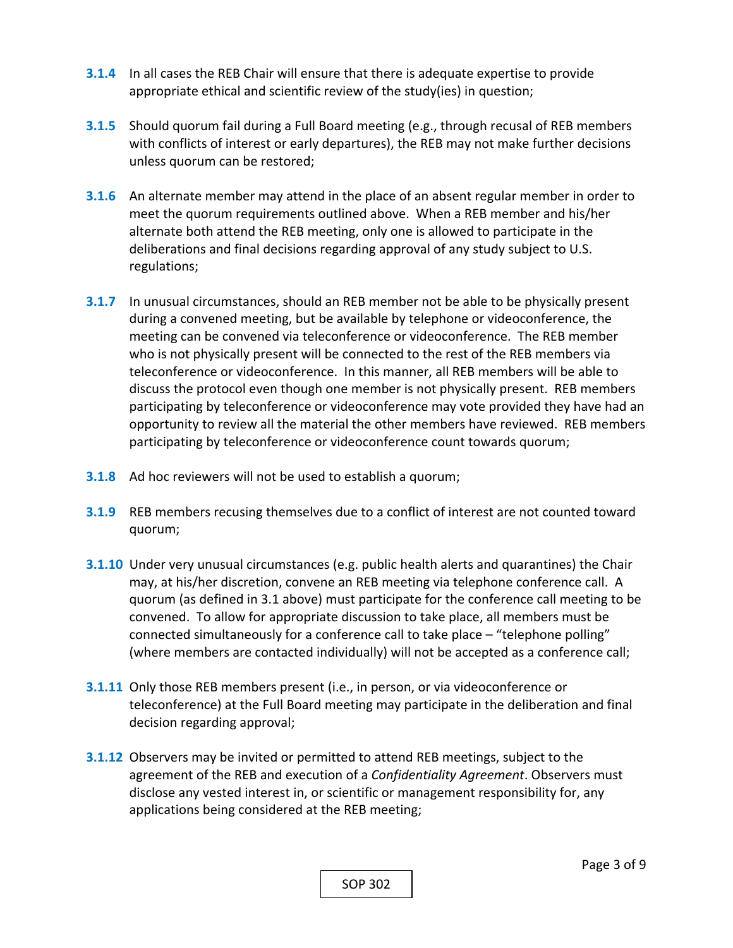- **3.1.4**  In all cases the REB Chair will ensure that there is adequate expertise to provide appropriate ethical and scientific review of the study(ies) in question;
- **3.1.5**  Should quorum fail during a Full Board meeting (e.g., through recusal of REB members with conflicts of interest or early departures), the REB may not make further decisions unless quorum can be restored;
- **3.1.6**  An alternate member may attend in the place of an absent regular member in order to meet the quorum requirements outlined above. When a REB member and his/her alternate both attend the REB meeting, only one is allowed to participate in the deliberations and final decisions regarding approval of any study subject to U.S. regulations;
- **3.1.7**  In unusual circumstances, should an REB member not be able to be physically present during a convened meeting, but be available by telephone or videoconference, the meeting can be convened via teleconference or videoconference. The REB member who is not physically present will be connected to the rest of the REB members via teleconference or videoconference. In this manner, all REB members will be able to discuss the protocol even though one member is not physically present. REB members participating by teleconference or videoconference may vote provided they have had an opportunity to review all the material the other members have reviewed. REB members participating by teleconference or videoconference count towards quorum;
- **3.1.8**  Ad hoc reviewers will not be used to establish a quorum;
- **3.1.9**  REB members recusing themselves due to a conflict of interest are not counted toward quorum;
- **3.1.10**  Under very unusual circumstances (e.g. public health alerts and quarantines) the Chair may, at his/her discretion, convene an REB meeting via telephone conference call. A quorum (as defined in 3.1 above) must participate for the conference call meeting to be convened. To allow for appropriate discussion to take place, all members must be connected simultaneously for a conference call to take place – "telephone polling" (where members are contacted individually) will not be accepted as a conference call;
- **3.1.11**  Only those REB members present (i.e., in person, or via videoconference or teleconference) at the Full Board meeting may participate in the deliberation and final decision regarding approval;
- **3.1.12**  Observers may be invited or permitted to attend REB meetings, subject to the agreement of the REB and execution of a *Confidentiality Agreement*. Observers must disclose any vested interest in, or scientific or management responsibility for, any applications being considered at the REB meeting;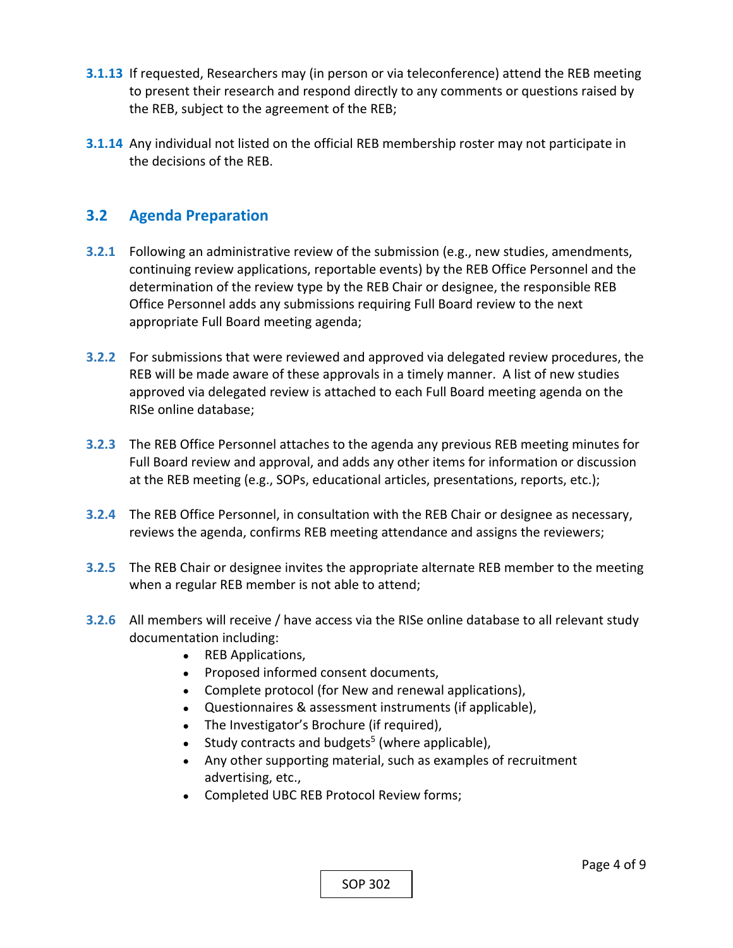- **3.1.13**  If requested, Researchers may (in person or via teleconference) attend the REB meeting to present their research and respond directly to any comments or questions raised by the REB, subject to the agreement of the REB;
- **3.1.14**  Any individual not listed on the official REB membership roster may not participate in the decisions of the REB.

#### **3.2 Agenda Preparation**

- **3.2.1** Following an administrative review of the submission (e.g., new studies, amendments, continuing review applications, reportable events) by the REB Office Personnel and the determination of the review type by the REB Chair or designee, the responsible REB Office Personnel adds any submissions requiring Full Board review to the next appropriate Full Board meeting agenda;
- **3.2.2**  For submissions that were reviewed and approved via delegated review procedures, the REB will be made aware of these approvals in a timely manner. A list of new studies approved via delegated review is attached to each Full Board meeting agenda on the RISe online database;
- **3.2.3**  The REB Office Personnel attaches to the agenda any previous REB meeting minutes for Full Board review and approval, and adds any other items for information or discussion at the REB meeting (e.g., SOPs, educational articles, presentations, reports, etc.);
- **3.2.4**  The REB Office Personnel, in consultation with the REB Chair or designee as necessary, reviews the agenda, confirms REB meeting attendance and assigns the reviewers;
- **3.2.5**  The REB Chair or designee invites the appropriate alternate REB member to the meeting when a regular REB member is not able to attend;
- **3.2.6**  All members will receive / have access via the RISe online database to all relevant study documentation including:
	- REB Applications,
	- Proposed informed consent documents,
	- Complete protocol (for New and renewal applications),
	- Questionnaires & assessment instruments (if applicable),
	- The Investigator's Brochure (if required),
	- Study contracts and budgets<sup>5</sup> (where applicable),
	- Any other supporting material, such as examples of recruitment advertising, etc.,
	- Completed UBC REB Protocol Review forms;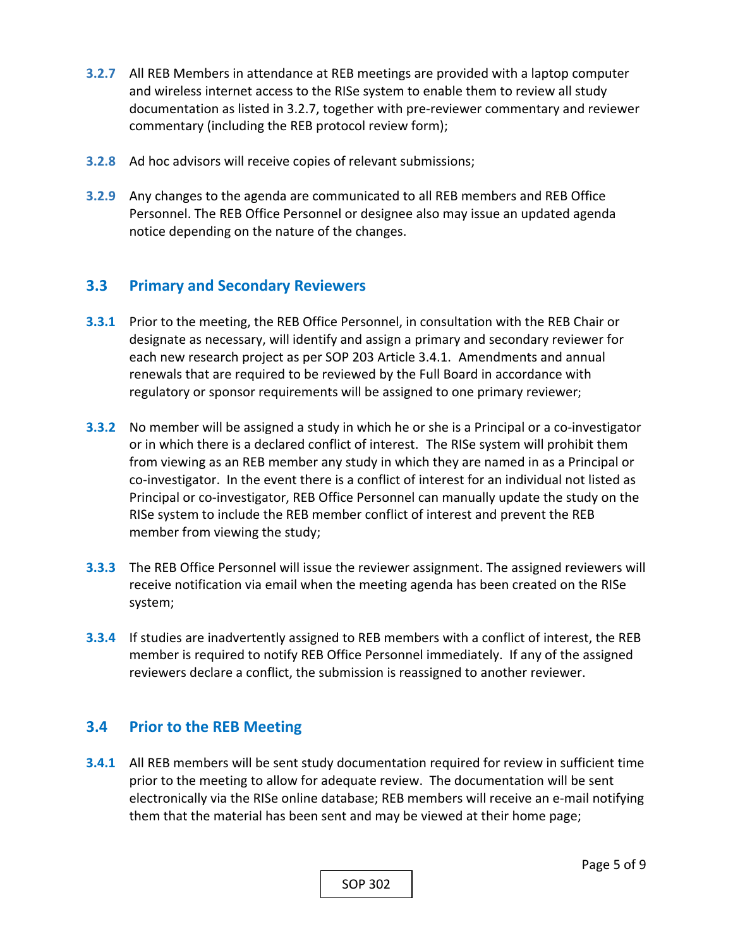- **3.2.7**  All REB Members in attendance at REB meetings are provided with a laptop computer and wireless internet access to the RISe system to enable them to review all study documentation as listed in 3.2.7, together with pre‐reviewer commentary and reviewer commentary (including the REB protocol review form);
- **3.2.8**  Ad hoc advisors will receive copies of relevant submissions;
- **3.2.9**  Any changes to the agenda are communicated to all REB members and REB Office Personnel. The REB Office Personnel or designee also may issue an updated agenda notice depending on the nature of the changes.

## **3.3 Primary and Secondary Reviewers**

- **3.3.1** Prior to the meeting, the REB Office Personnel, in consultation with the REB Chair or designate as necessary, will identify and assign a primary and secondary reviewer for each new research project as per SOP 203 Article 3.4.1. Amendments and annual renewals that are required to be reviewed by the Full Board in accordance with regulatory or sponsor requirements will be assigned to one primary reviewer;
- **3.3.2** No member will be assigned a study in which he or she is a Principal or a co-investigator or in which there is a declared conflict of interest. The RISe system will prohibit them from viewing as an REB member any study in which they are named in as a Principal or co-investigator. In the event there is a conflict of interest for an individual not listed as Principal or co‐investigator, REB Office Personnel can manually update the study on the RISe system to include the REB member conflict of interest and prevent the REB member from viewing the study;
- **3.3.3**  The REB Office Personnel will issue the reviewer assignment. The assigned reviewers will receive notification via email when the meeting agenda has been created on the RISe system;
- **3.3.4**  If studies are inadvertently assigned to REB members with a conflict of interest, the REB member is required to notify REB Office Personnel immediately. If any of the assigned reviewers declare a conflict, the submission is reassigned to another reviewer.

## **3.4 Prior to the REB Meeting**

**3.4.1** All REB members will be sent study documentation required for review in sufficient time prior to the meeting to allow for adequate review. The documentation will be sent electronically via the RISe online database; REB members will receive an e‐mail notifying them that the material has been sent and may be viewed at their home page;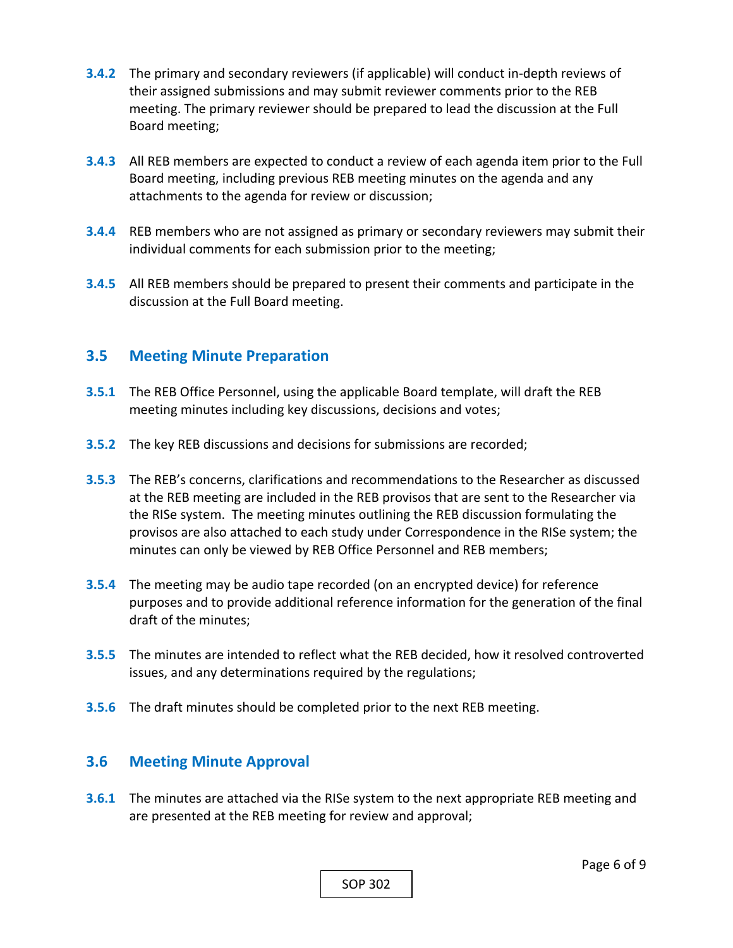- **3.4.2**  The primary and secondary reviewers (if applicable) will conduct in‐depth reviews of their assigned submissions and may submit reviewer comments prior to the REB meeting. The primary reviewer should be prepared to lead the discussion at the Full Board meeting;
- **3.4.3**  All REB members are expected to conduct a review of each agenda item prior to the Full Board meeting, including previous REB meeting minutes on the agenda and any attachments to the agenda for review or discussion;
- **3.4.4**  REB members who are not assigned as primary or secondary reviewers may submit their individual comments for each submission prior to the meeting;
- **3.4.5**  All REB members should be prepared to present their comments and participate in the discussion at the Full Board meeting.

#### **3.5 Meeting Minute Preparation**

- **3.5.1** The REB Office Personnel, using the applicable Board template, will draft the REB meeting minutes including key discussions, decisions and votes;
- **3.5.2**  The key REB discussions and decisions for submissions are recorded;
- **3.5.3**  The REB's concerns, clarifications and recommendations to the Researcher as discussed at the REB meeting are included in the REB provisos that are sent to the Researcher via the RISe system. The meeting minutes outlining the REB discussion formulating the provisos are also attached to each study under Correspondence in the RISe system; the minutes can only be viewed by REB Office Personnel and REB members;
- **3.5.4**  The meeting may be audio tape recorded (on an encrypted device) for reference purposes and to provide additional reference information for the generation of the final draft of the minutes;
- **3.5.5**  The minutes are intended to reflect what the REB decided, how it resolved controverted issues, and any determinations required by the regulations;
- **3.5.6**  The draft minutes should be completed prior to the next REB meeting.

#### **3.6 Meeting Minute Approval**

**3.6.1** The minutes are attached via the RISe system to the next appropriate REB meeting and are presented at the REB meeting for review and approval;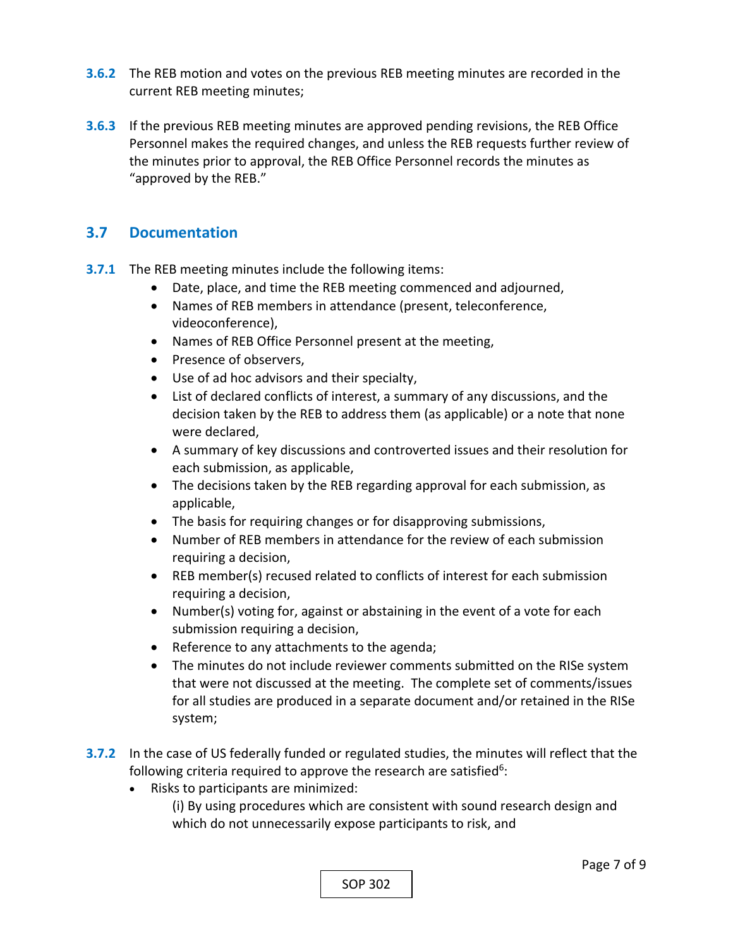- **3.6.2**  The REB motion and votes on the previous REB meeting minutes are recorded in the current REB meeting minutes;
- **3.6.3**  If the previous REB meeting minutes are approved pending revisions, the REB Office Personnel makes the required changes, and unless the REB requests further review of the minutes prior to approval, the REB Office Personnel records the minutes as "approved by the REB."

## **3.7 Documentation**

- **3.7.1** The REB meeting minutes include the following items:
	- Date, place, and time the REB meeting commenced and adjourned,
	- Names of REB members in attendance (present, teleconference, videoconference),
	- Names of REB Office Personnel present at the meeting,
	- Presence of observers,
	- Use of ad hoc advisors and their specialty,
	- List of declared conflicts of interest, a summary of any discussions, and the decision taken by the REB to address them (as applicable) or a note that none were declared,
	- A summary of key discussions and controverted issues and their resolution for each submission, as applicable,
	- The decisions taken by the REB regarding approval for each submission, as applicable,
	- The basis for requiring changes or for disapproving submissions,
	- Number of REB members in attendance for the review of each submission requiring a decision,
	- REB member(s) recused related to conflicts of interest for each submission requiring a decision,
	- Number(s) voting for, against or abstaining in the event of a vote for each submission requiring a decision,
	- Reference to any attachments to the agenda;
	- The minutes do not include reviewer comments submitted on the RISe system that were not discussed at the meeting. The complete set of comments/issues for all studies are produced in a separate document and/or retained in the RISe system;
- **3.7.2**  In the case of US federally funded or regulated studies, the minutes will reflect that the following criteria required to approve the research are satisfied<sup>6</sup>:
	- Risks to participants are minimized:

(i) By using procedures which are consistent with sound research design and which do not unnecessarily expose participants to risk, and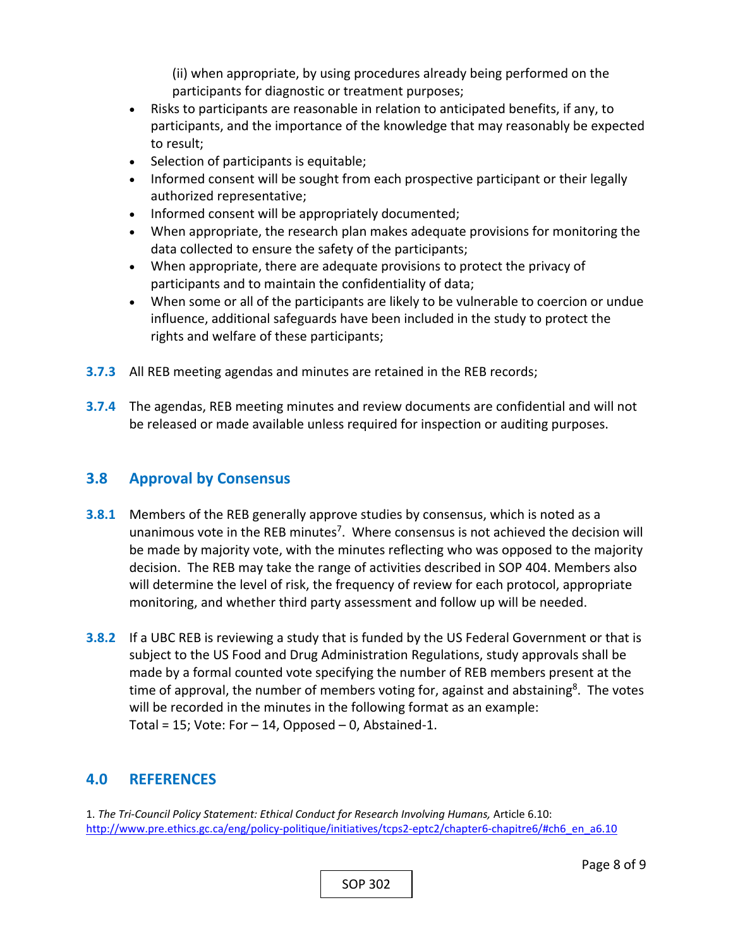(ii) when appropriate, by using procedures already being performed on the participants for diagnostic or treatment purposes;

- Risks to participants are reasonable in relation to anticipated benefits, if any, to participants, and the importance of the knowledge that may reasonably be expected to result;
- Selection of participants is equitable;
- Informed consent will be sought from each prospective participant or their legally authorized representative;
- Informed consent will be appropriately documented;
- When appropriate, the research plan makes adequate provisions for monitoring the data collected to ensure the safety of the participants;
- When appropriate, there are adequate provisions to protect the privacy of participants and to maintain the confidentiality of data;
- When some or all of the participants are likely to be vulnerable to coercion or undue influence, additional safeguards have been included in the study to protect the rights and welfare of these participants;
- **3.7.3**  All REB meeting agendas and minutes are retained in the REB records;
- **3.7.4**  The agendas, REB meeting minutes and review documents are confidential and will not be released or made available unless required for inspection or auditing purposes.

## **3.8 Approval by Consensus**

- **3.8.1**  Members of the REB generally approve studies by consensus, which is noted as a unanimous vote in the REB minutes<sup>7</sup>. Where consensus is not achieved the decision will be made by majority vote, with the minutes reflecting who was opposed to the majority decision. The REB may take the range of activities described in SOP 404. Members also will determine the level of risk, the frequency of review for each protocol, appropriate monitoring, and whether third party assessment and follow up will be needed.
- **3.8.2**  If a UBC REB is reviewing a study that is funded by the US Federal Government or that is subject to the US Food and Drug Administration Regulations, study approvals shall be made by a formal counted vote specifying the number of REB members present at the time of approval, the number of members voting for, against and abstaining<sup>8</sup>. The votes will be recorded in the minutes in the following format as an example: Total = 15; Vote: For  $-$  14, Opposed  $-$  0, Abstained-1.

# **4.0 REFERENCES**

1. *The Tri‐Council Policy Statement: Ethical Conduct for Research Involving Humans,* Article 6.10: http://www.pre.ethics.gc.ca/eng/policy-politique/initiatives/tcps2-eptc2/chapter6-chapitre6/#ch6\_en\_a6.10